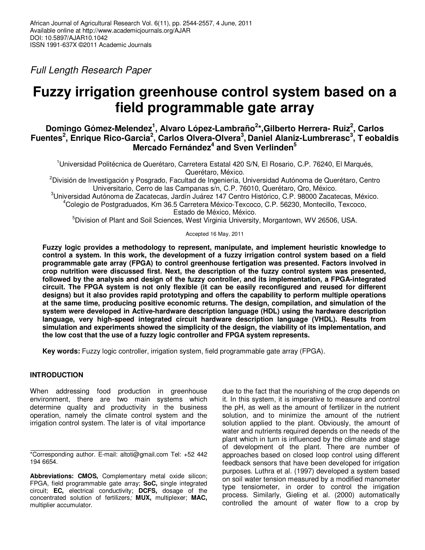*Full Length Research Paper* 

# **Fuzzy irrigation greenhouse control system based on a field programmable gate array**

# **Domingo Gómez-Melendez<sup>1</sup> , Alvaro López-Lambraño<sup>2</sup> \*,Gilberto Herrera- Ruiz<sup>2</sup> , Carlos Fuentes<sup>2</sup> , Enrique Rico-Garcia<sup>2</sup> , Carlos Olvera-Olvera<sup>3</sup> , Daniel Alaniz-Lumbrerasc<sup>3</sup> , T eobaldis Mercado Fernández<sup>4</sup> and Sven Verlinden<sup>5</sup>**

<sup>1</sup>Universidad Politécnica de Querétaro, Carretera Estatal 420 S/N, El Rosario, C.P. 76240, El Marqués, Querétaro, México.

<sup>2</sup>División de Investigación y Posgrado, Facultad de Ingeniería, Universidad Autónoma de Querétaro, Centro Universitario, Cerro de las Campanas s/n, C.P. 76010, Querétaro, Qro, México.

<sup>3</sup>Universidad Autónoma de Zacatecas, Jardín Juárez 147 Centro Histórico, C.P. 98000 Zacatecas, México. <sup>4</sup>Colegio de Postgraduados, Km 36.5 Carretera México-Texcoco, C.P. 56230, Montecillo, Texcoco, Estado de México, México.

<sup>5</sup>Division of Plant and Soil Sciences, West Virginia University, Morgantown, WV 26506, USA.

Accepted 16 May, 2011

**Fuzzy logic provides a methodology to represent, manipulate, and implement heuristic knowledge to control a system. In this work, the development of a fuzzy irrigation control system based on a field programmable gate array (FPGA) to control greenhouse fertigation was presented. Factors involved in crop nutrition were discussed first. Next, the description of the fuzzy control system was presented, followed by the analysis and design of the fuzzy controller, and its implementation, a FPGA-integrated circuit. The FPGA system is not only flexible (it can be easily reconfigured and reused for different designs) but it also provides rapid prototyping and offers the capability to perform multiple operations at the same time, producing positive economic returns. The design, compilation, and simulation of the system were developed in Active-hardware description language (HDL) using the hardware description language, very high-speed integrated circuit hardware description language (VHDL). Results from simulation and experiments showed the simplicity of the design, the viability of its implementation, and the low cost that the use of a fuzzy logic controller and FPGA system represents.** 

**Key words:** Fuzzy logic controller, irrigation system, field programmable gate array (FPGA).

# **INTRODUCTION**

When addressing food production in greenhouse environment, there are two main systems which determine quality and productivity in the business operation, namely the climate control system and the irrigation control system. The later is of vital importance

due to the fact that the nourishing of the crop depends on it. In this system, it is imperative to measure and control the pH, as well as the amount of fertilizer in the nutrient solution, and to minimize the amount of the nutrient solution applied to the plant. Obviously, the amount of water and nutrients required depends on the needs of the plant which in turn is influenced by the climate and stage of development of the plant. There are number of approaches based on closed loop control using different feedback sensors that have been developed for irrigation purposes. Luthra et al. (1997) developed a system based on soil water tension measured by a modified manometer type tensiometer, in order to control the irrigation process. Similarly, Gieling et al. (2000) automatically controlled the amount of water flow to a crop by

<sup>\*</sup>Corresponding author. E-mail: altoti@gmail.com Tel: +52 442 194 6654.

**Abbreviations: CMOS,** Complementary metal oxide silicon; FPGA, field programmable gate array; **SoC,** single integrated circuit; **EC,** electrical conductivity; **DCFS,** dosage of the concentrated solution of fertilizers*;* **MUX,** multiplexer; **MAC,** multiplier accumulator.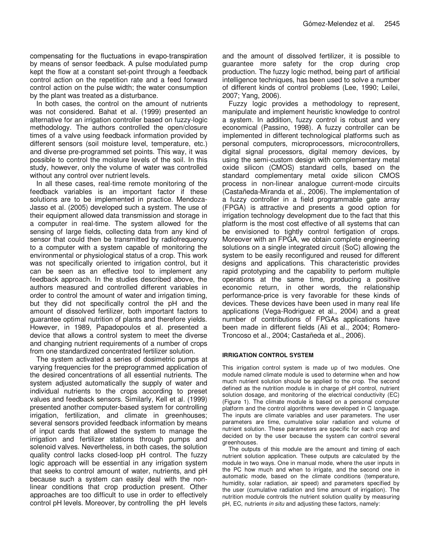compensating for the fluctuations in evapo-transpiration by means of sensor feedback. A pulse modulated pump kept the flow at a constant set-point through a feedback control action on the repetition rate and a feed forward control action on the pulse width; the water consumption by the plant was treated as a disturbance.

In both cases, the control on the amount of nutrients was not considered. Bahat et al. (1999) presented an alternative for an irrigation controller based on fuzzy-logic methodology. The authors controlled the open/closure times of a valve using feedback information provided by different sensors (soil moisture level, temperature, etc.) and diverse pre-programmed set points. This way, it was possible to control the moisture levels of the soil. In this study, however, only the volume of water was controlled without any control over nutrient levels.

In all these cases, real-time remote monitoring of the feedback variables is an important factor if these solutions are to be implemented in practice. Mendoza-Jasso et al. (2005) developed such a system. The use of their equipment allowed data transmission and storage in a computer in real-time. The system allowed for the sensing of large fields, collecting data from any kind of sensor that could then be transmitted by radiofrequency to a computer with a system capable of monitoring the environmental or physiological status of a crop. This work was not specifically oriented to irrigation control, but it can be seen as an effective tool to implement any feedback approach. In the studies described above, the authors measured and controlled different variables in order to control the amount of water and irrigation timing, but they did not specifically control the pH and the amount of dissolved fertilizer, both important factors to guarantee optimal nutrition of plants and therefore yields. However, in 1989, Papadopoulos et al. presented a device that allows a control system to meet the diverse and changing nutrient requirements of a number of crops from one standardized concentrated fertilizer solution.

The system activated a series of dosimetric pumps at varying frequencies for the preprogrammed application of the desired concentrations of all essential nutrients. The system adjusted automatically the supply of water and individual nutrients to the crops according to preset values and feedback sensors. Similarly, Kell et al. (1999) presented another computer-based system for controlling irrigation, fertilization, and climate in greenhouses; several sensors provided feedback information by means of input cards that allowed the system to manage the irrigation and fertilizer stations through pumps and solenoid valves. Nevertheless, in both cases, the solution quality control lacks closed-loop pH control. The fuzzy logic approach will be essential in any irrigation system that seeks to control amount of water, nutrients, and pH because such a system can easily deal with the nonlinear conditions that crop production present. Other approaches are too difficult to use in order to effectively control pH levels. Moreover, by controlling the pH levels

and the amount of dissolved fertilizer, it is possible to guarantee more safety for the crop during crop production. The fuzzy logic method, being part of artificial intelligence techniques, has been used to solve a number of different kinds of control problems (Lee, 1990; Leilei, 2007; Yang, 2006).

Fuzzy logic provides a methodology to represent, manipulate and implement heuristic knowledge to control a system. In addition, fuzzy control is robust and very economical (Passino, 1998). A fuzzy controller can be implemented in different technological platforms such as personal computers, microprocessors, microcontrollers, digital signal processors, digital memory devices, by using the semi-custom design with complementary metal oxide silicon (CMOS) standard cells, based on the standard complementary metal oxide silicon CMOS process in non-linear analogue current-mode circuits (Castañeda-Miranda et al., 2006). The implementation of a fuzzy controller in a field programmable gate array (FPGA) is attractive and presents a good option for irrigation technology development due to the fact that this platform is the most cost effective of all systems that can be envisioned to tightly control fertigation of crops. Moreover with an FPGA, we obtain complete engineering solutions on a single integrated circuit (SoC) allowing the system to be easily reconfigured and reused for different designs and applications. This characteristic provides rapid prototyping and the capability to perform multiple operations at the same time, producing a positive economic return, in other words, the relationship performance-price is very favorable for these kinds of devices. These devices have been used in many real life applications (Vega-Rodriguez et al., 2004) and a great number of contributions of FPGAs applications have been made in different fields (Ali et al., 2004; Romero-Troncoso et al., 2004; Castañeda et al., 2006).

## **IRRIGATION CONTROL SYSTEM**

This irrigation control system is made up of two modules. One module named climate module is used to determine when and how much nutrient solution should be applied to the crop. The second defined as the nutrition module is in charge of pH control, nutrient solution dosage, and monitoring of the electrical conductivity (EC) (Figure 1). The climate module is based on a personal computer platform and the control algorithms were developed in C language. The inputs are climate variables and user parameters. The user parameters are time, cumulative solar radiation and volume of nutrient solution. These parameters are specific for each crop and decided on by the user because the system can control several greenhouses.

The outputs of this module are the amount and timing of each nutrient solution application. These outputs are calculated by the module in two ways. One in manual mode, where the user inputs in the PC how much and when to irrigate, and the second one in automatic mode, based on the climate conditions (temperature, humidity, solar radiation, air speed) and parameters specified by the user (cumulative radiation and time amount of irrigation). The nutrition module controls the nutrient solution quality by measuring pH, EC, nutrients *in situ* and adjusting these factors, namely: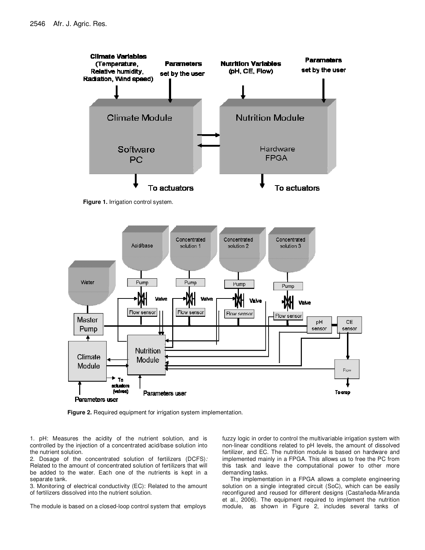

**Figure 1.** Irrigation control system.



**Figure 2.** Required equipment for irrigation system implementation.

1. pH: Measures the acidity of the nutrient solution, and is controlled by the injection of a concentrated acid/base solution into the nutrient solution.

2. Dosage of the concentrated solution of fertilizers (DCFS)*:*  Related to the amount of concentrated solution of fertilizers that will be added to the water. Each one of the nutrients is kept in a separate tank.

3. Monitoring of electrical conductivity (EC): Related to the amount of fertilizers dissolved into the nutrient solution.

The module is based on a closed-loop control system that employs

fuzzy logic in order to control the multivariable irrigation system with non-linear conditions related to pH levels, the amount of dissolved fertilizer, and EC. The nutrition module is based on hardware and implemented mainly in a FPGA. This allows us to free the PC from this task and leave the computational power to other more demanding tasks.

 The implementation in a FPGA allows a complete engineering solution on a single integrated circuit (SoC), which can be easily reconfigured and reused for different designs (Castañeda-Miranda et al., 2006). The equipment required to implement the nutrition module, as shown in Figure 2, includes several tanks of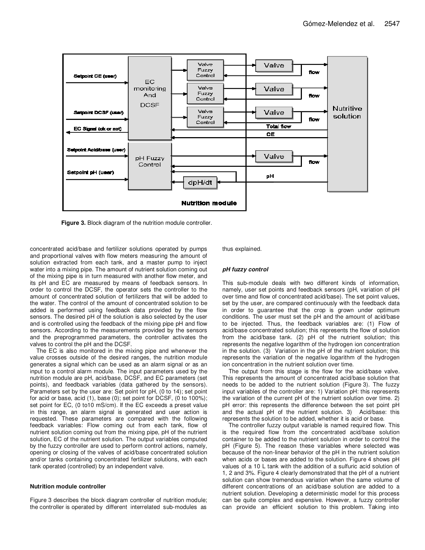

**Figure 3.** Block diagram of the nutrition module controller.

concentrated acid/base and fertilizer solutions operated by pumps and proportional valves with flow meters measuring the amount of solution extracted from each tank, and a master pump to inject water into a mixing pipe. The amount of nutrient solution coming out of the mixing pipe is in turn measured with another flow meter, and its pH and EC are measured by means of feedback sensors. In order to control the DCSF, the operator sets the controller to the amount of concentrated solution of fertilizers that will be added to the water. The control of the amount of concentrated solution to be added is performed using feedback data provided by the flow sensors. The desired pH of the solution is also selected by the user and is controlled using the feedback of the mixing pipe pH and flow sensors. According to the measurements provided by the sensors and the preprogrammed parameters, the controller activates the valves to control the pH and the DCSF.

The EC is also monitored in the mixing pipe and whenever the value crosses outside of the desired ranges, the nutrition module generates a signal which can be used as an alarm signal or as an input to a control alarm module. The input parameters used by the nutrition module are pH, acid/base, DCSF, and EC parameters (set points), and feedback variables (data gathered by the sensors). Parameters set by the user are: Set point for pH, (0 to 14); set point for acid or base, acid (1), base (0); set point for DCSF, (0 to 100%); set point for EC, (0 to10 mS/cm). If the EC exceeds a preset value in this range, an alarm signal is generated and user action is requested. These parameters are compared with the following feedback variables: Flow coming out from each tank, flow of nutrient solution coming out from the mixing pipe, pH of the nutrient solution, EC of the nutrient solution. The output variables computed by the fuzzy controller are used to perform control actions, namely, opening or closing of the valves of acid/base concentrated solution and/or tanks containing concentrated fertilizer solutions, with each tank operated (controlled) by an independent valve.

#### **Nutrition module controller**

Figure 3 describes the block diagram controller of nutrition module; the controller is operated by different interrelated sub-modules as

thus explained.

#### **pH fuzzy control**

This sub-module deals with two different kinds of information, namely, user set points and feedback sensors (pH, variation of pH over time and flow of concentrated acid/base). The set point values, set by the user, are compared continuously with the feedback data in order to guarantee that the crop is grown under optimum conditions. The user must set the pH and the amount of acid/base to be injected. Thus, the feedback variables are: (1) Flow of acid/base concentrated solution; this represents the flow of solution from the acid/base tank. (2) pH of the nutrient solution; this represents the negative logarithm of the hydrogen ion concentration in the solution. (3) Variation in the pH of the nutrient solution; this represents the variation of the negative logarithm of the hydrogen ion concentration in the nutrient solution over time.

The output from this stage is the flow for the acid/base valve. This represents the amount of concentrated acid/base solution that needs to be added to the nutrient solution (Figure 3). The fuzzy input variables of the controller are: 1) Variation pH: this represents the variation of the current pH of the nutrient solution over time. 2) pH error: this represents the difference between the set point pH and the actual pH of the nutrient solution. 3) Acid/base: this represents the solution to be added, whether it is acid or base.

The controller fuzzy output variable is named required flow. This is the required flow from the concentrated acid/base solution container to be added to the nutrient solution in order to control the pH (Figure 5). The reason these variables where selected was because of the non-linear behavior of the pH in the nutrient solution when acids or bases are added to the solution. Figure 4 shows pH values of a 10 L tank with the addition of a sulfuric acid solution of 1, 2 and 3%. Figure 4 clearly demonstrated that the pH of a nutrient solution can show tremendous variation when the same volume of different concentrations of an acid/base solution are added to a nutrient solution. Developing a deterministic model for this process can be quite complex and expensive. However, a fuzzy controller can provide an efficient solution to this problem. Taking into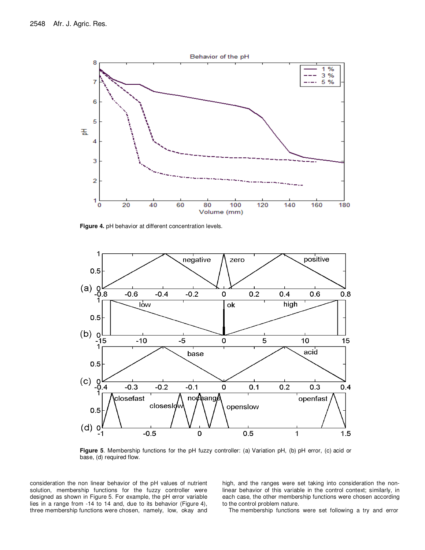

**Figure 4.** pH behavior at different concentration levels.



**Figure 5**. Membership functions for the pH fuzzy controller: (a) Variation pH, (b) pH error, (c) acid or base, (d) required flow.

consideration the non linear behavior of the pH values of nutrient solution, membership functions for the fuzzy controller were designed as shown in Figure 5. For example, the pH error variable lies in a range from -14 to 14 and, due to its behavior (Figure 4), three membership functions were chosen, namely, low, okay and

high, and the ranges were set taking into consideration the nonlinear behavior of this variable in the control context; similarly, in each case, the other membership functions were chosen according to the control problem nature.

The membership functions were set following a try and error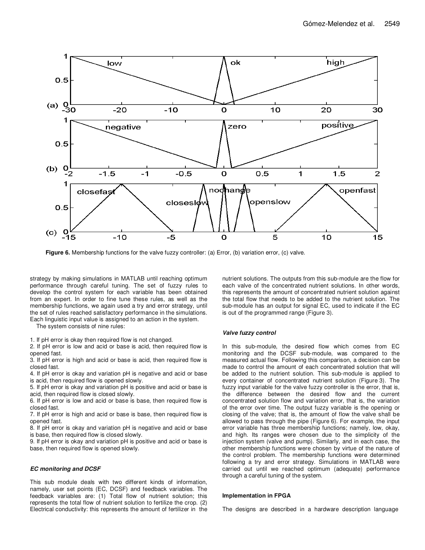

Figure 6. Membership functions for the valve fuzzy controller: (a) Error, (b) variation error, (c) valve.

strategy by making simulations in MATLAB until reaching optimum performance through careful tuning. The set of fuzzy rules to develop the control system for each variable has been obtained from an expert. In order to fine tune these rules, as well as the membership functions, we again used a try and error strategy, until the set of rules reached satisfactory performance in the simulations. Each linguistic input value is assigned to an action in the system.

The system consists of nine rules:

1. If pH error is okay then required flow is not changed.

2. If pH error is low and acid or base is acid, then required flow is opened fast.

3. If pH error is high and acid or base is acid, then required flow is closed fast.

4. If pH error is okay and variation pH is negative and acid or base is acid, then required flow is opened slowly*.*

5. If pH error is okay and variation pH is positive and acid or base is acid, then required flow is closed slowly.

6. If pH error is low and acid or base is base, then required flow is closed fast.

7. If pH error is high and acid or base is base, then required flow is opened fast.

8. If pH error is okay and variation pH is negative and acid or base is base, then required flow is closed slowly.

9. If pH error is okay and variation pH is positive and acid or base is base, then required flow is opened slowly.

## **EC monitoring and DCSF**

This sub module deals with two different kinds of information, namely, user set points (EC, DCSF) and feedback variables. The feedback variables are: (1) Total flow of nutrient solution; this represents the total flow of nutrient solution to fertilize the crop. (2) Electrical conductivity: this represents the amount of fertilizer in the

nutrient solutions. The outputs from this sub-module are the flow for each valve of the concentrated nutrient solutions. In other words, this represents the amount of concentrated nutrient solution against the total flow that needs to be added to the nutrient solution. The sub-module has an output for signal EC, used to indicate if the EC is out of the programmed range (Figure 3).

#### **Valve fuzzy control**

In this sub-module, the desired flow which comes from EC monitoring and the DCSF sub-module, was compared to the measured actual flow. Following this comparison, a decision can be made to control the amount of each concentrated solution that will be added to the nutrient solution. This sub-module is applied to every container of concentrated nutrient solution (Figure 3). The fuzzy input variable for the valve fuzzy controller is the error, that is, the difference between the desired flow and the current concentrated solution flow and variation error, that is, the variation of the error over time. The output fuzzy variable is the opening or closing of the valve; that is, the amount of flow the valve shall be allowed to pass through the pipe (Figure 6). For example, the input error variable has three membership functions; namely, low, okay, and high. Its ranges were chosen due to the simplicity of the injection system (valve and pump). Similarly, and in each case, the other membership functions were chosen by virtue of the nature of the control problem. The membership functions were determined following a try and error strategy. Simulations in MATLAB were carried out until we reached optimum (adequate) performance through a careful tuning of the system.

#### **Implementation in FPGA**

The designs are described in a hardware description language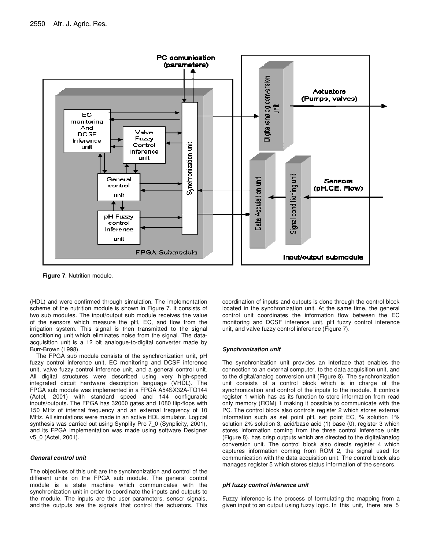

**Figure 7**. Nutrition module.

(HDL) and were confirmed through simulation. The implementation scheme of the nutrition module is shown in Figure 7. It consists of two sub modules. The input/output sub module receives the value of the sensors which measure the pH, EC, and flow from the irrigation system. This signal is then transmitted to the signal conditioning unit which eliminates noise from the signal. The dataacquisition unit is a 12 bit analogue-to-digital converter made by Burr-Brown (1998).

The FPGA sub module consists of the synchronization unit, pH fuzzy control inference unit, EC monitoring and DCSF inference unit, valve fuzzy control inference unit, and a general control unit. All digital structures were described using very high-speed integrated circuit hardware description language (VHDL). The FPGA sub module was implemented in a FPGA A54SX32A-TQ144 (Actel, 2001) with standard speed and 144 configurable inputs/outputs. The FPGA has 32000 gates and 1080 flip-flops with 150 MHz of internal frequency and an external frequency of 10 MHz. All simulations were made in an active HDL simulator. Logical synthesis was carried out using Synplify Pro 7\_0 (Synplicity, 2001), and its FPGA implementation was made using software Designer v5\_0 (Actel, 2001).

#### **General control unit**

The objectives of this unit are the synchronization and control of the different units on the FPGA sub module. The general control module is a state machine which communicates with the synchronization unit in order to coordinate the inputs and outputs to the module. The inputs are the user parameters, sensor signals, and the outputs are the signals that control the actuators. This

coordination of inputs and outputs is done through the control block located in the synchronization unit. At the same time, the general control unit coordinates the information flow between the EC monitoring and DCSF inference unit, pH fuzzy control inference unit, and valve fuzzy control inference (Figure 7).

#### **Synchronization unit**

The synchronization unit provides an interface that enables the connection to an external computer, to the data acquisition unit, and to the digital/analog conversion unit (Figure 8). The synchronization unit consists of a control block which is in charge of the synchronization and control of the inputs to the module. It controls register 1 which has as its function to store information from read only memory (ROM) 1 making it possible to communicate with the PC. The control block also controls register 2 which stores external information such as set point pH, set point EC, % solution 1% solution 2% solution 3, acid/base acid (1) base (0), register 3 which stores information coming from the three control inference units (Figure 8), has crisp outputs which are directed to the digital/analog conversion unit. The control block also directs register 4 which captures information coming from ROM 2, the signal used for communication with the data acquisition unit. The control block also manages register 5 which stores status information of the sensors.

#### **pH fuzzy control inference unit**

Fuzzy inference is the process of formulating the mapping from a given input to an output using fuzzy logic. In this unit, there are 5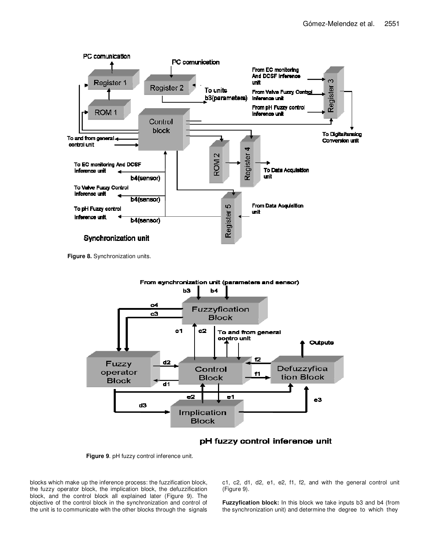

**Figure 8.** Synchronization units.



# pH fuzzy control inference unit

**Figure 9**. pH fuzzy control inference unit.

blocks which make up the inference process: the fuzzification block, the fuzzy operator block, the implication block, the defuzzification block, and the control block all explained later (Figure 9). The objective of the control block in the synchronization and control of the unit is to communicate with the other blocks through the signals c1, c2, d1, d2, e1, e2, f1, f2, and with the general control unit (Figure 9).

**Fuzzyfication block:** In this block we take inputs b3 and b4 (from the synchronization unit) and determine the degree to which they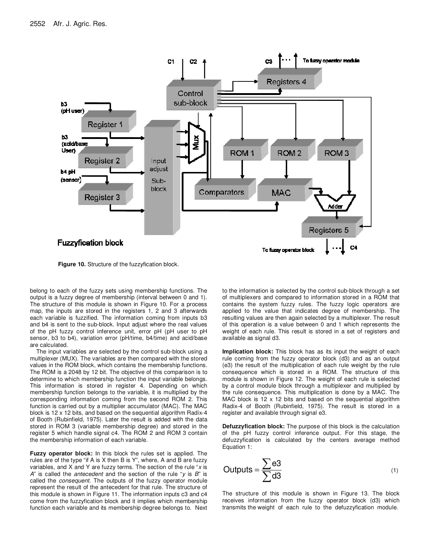

**Figure 10.** Structure of the fuzzyfication block.

belong to each of the fuzzy sets using membership functions. The output is a fuzzy degree of membership (interval between 0 and 1). The structure of this module is shown in Figure 10. For a process map, the inputs are stored in the registers 1, 2 and 3 afterwards each variable is fuzzified. The information coming from inputs b3 and b4 is sent to the sub-block. Input adjust where the real values of the pH fuzzy control inference unit, error pH (pH user to pH sensor, b3 to b4), variation error (pH/time, b4/time) and acid/base are calculated.

The input variables are selected by the control sub-block using a multiplexer (MUX). The variables are then compared with the stored values in the ROM block, which contains the membership functions. The ROM is a 2048 by 12 bit. The objective of this comparison is to determine to which membership function the input variable belongs. This information is stored in register 4. Depending on which membership function belongs to the variable, it is multiplied by the corresponding information coming from the second ROM 2. This function is carried out by a multiplier accumulator (MAC). The MAC block is 12 x 12 bits, and based on the sequential algorithm Radix-4 of Booth (Rubinfield, 1975). Later the result is added with the data stored in ROM 3 (variable membership degree) and stored in the register 5 which handle signal c4. The ROM 2 and ROM 3 contain the membership information of each variable.

**Fuzzy operator block:** In this block the rules set is applied. The rules are of the type "if A is X then B is Y", where, A and B are fuzzy variables, and X and Y are fuzzy terms. The section of the rule "*x* is *A*" is called the *antecedent* and the section of the rule "*y* is *B*" is called the *consequent*. The outputs of the fuzzy operator module represent the result of the antecedent for that rule. The structure of this module is shown in Figure 11. The information inputs c3 and c4 come from the fuzzyfication block and it implies which membership function each variable and its membership degree belongs to. Next to the information is selected by the control sub-block through a set of multiplexers and compared to information stored in a ROM that contains the system fuzzy rules. The fuzzy logic operators are applied to the value that indicates degree of membership. The resulting values are then again selected by a multiplexer. The result of this operation is a value between 0 and 1 which represents the weight of each rule. This result is stored in a set of registers and available as signal d3.

**Implication block:** This block has as its input the weight of each rule coming from the fuzzy operator block (d3) and as an output (e3) the result of the multiplication of each rule weight by the rule consequence which is stored in a ROM. The structure of this module is shown in Figure 12. The weight of each rule is selected by a control module block through a multiplexer and multiplied by the rule consequence. This multiplication is done by a MAC. The MAC block is 12 x 12 bits and based on the sequential algorithm Radix-4 of Booth (Rubinfield, 1975). The result is stored in a register and available through signal e3.

**Defuzzyfication block:** The purpose of this block is the calculation of the pH fuzzy control inference output. For this stage, the defuzzyfication is calculated by the centers average method Equation 1:

$$
Outputs = \frac{\sum e3}{\sum d3}
$$
 (1)

The structure of this module is shown in Figure 13. The block receives information from the fuzzy operator block (d3) which transmits the weight of each rule to the defuzzyfication module.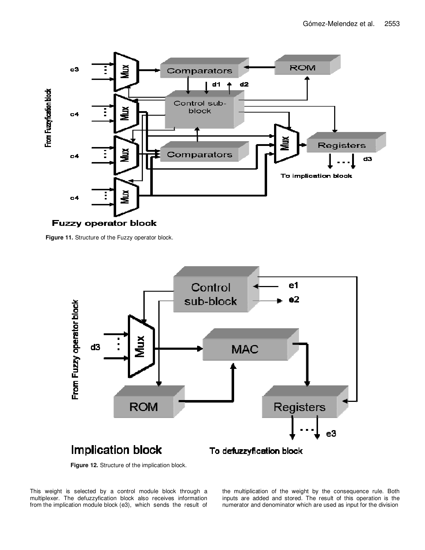

**Figure 11.** Structure of the Fuzzy operator block.



**Figure 12.** Structure of the implication block.

This weight is selected by a control module block through a multiplexer. The defuzzyfication block also receives information from the implication module block (e3), which sends the result of

the multiplication of the weight by the consequence rule. Both inputs are added and stored. The result of this operation is the numerator and denominator which are used as input for the division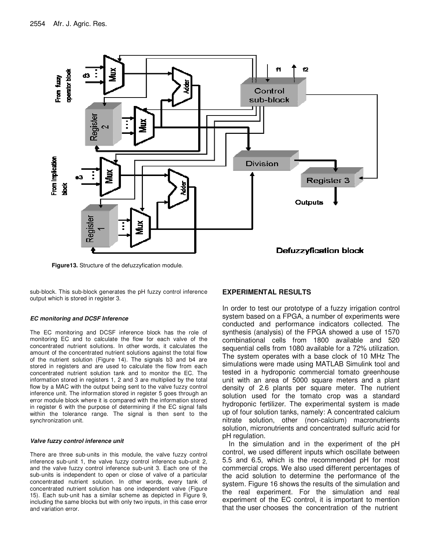

**Figure13.** Structure of the defuzzyfication module.

sub-block. This sub-block generates the pH fuzzy control inference output which is stored in register 3.

#### **EC monitoring and DCSF Inference**

The EC monitoring and DCSF inference block has the role of monitoring EC and to calculate the flow for each valve of the concentrated nutrient solutions. In other words, it calculates the amount of the concentrated nutrient solutions against the total flow of the nutrient solution (Figure 14). The signals b3 and b4 are stored in registers and are used to calculate the flow from each concentrated nutrient solution tank and to monitor the EC. The information stored in registers 1, 2 and 3 are multiplied by the total flow by a MAC with the output being sent to the valve fuzzy control inference unit. The information stored in register 5 goes through an error module block where it is compared with the information stored in register 6 with the purpose of determining if the EC signal falls within the tolerance range. The signal is then sent to the synchronization unit.

#### **Valve fuzzy control inference unit**

There are three sub-units in this module, the valve fuzzy control inference sub-unit 1, the valve fuzzy control inference sub-unit 2, and the valve fuzzy control inference sub-unit 3. Each one of the sub-units is independent to open or close of valve of a particular concentrated nutrient solution. In other words, every tank of concentrated nutrient solution has one independent valve (Figure 15). Each sub-unit has a similar scheme as depicted in Figure 9, including the same blocks but with only two inputs, in this case error and variation error.

# **EXPERIMENTAL RESULTS**

In order to test our prototype of a fuzzy irrigation control system based on a FPGA, a number of experiments were conducted and performance indicators collected. The synthesis (analysis) of the FPGA showed a use of 1570 combinational cells from 1800 available and 520 sequential cells from 1080 available for a 72% utilization. The system operates with a base clock of 10 MHz The simulations were made using MATLAB Simulink tool and tested in a hydroponic commercial tomato greenhouse unit with an area of 5000 square meters and a plant density of 2.6 plants per square meter. The nutrient solution used for the tomato crop was a standard hydroponic fertilizer. The experimental system is made up of four solution tanks, namely: A concentrated calcium nitrate solution, other (non-calcium) macronutrients solution, micronutrients and concentrated sulfuric acid for pH regulation.

In the simulation and in the experiment of the pH control, we used different inputs which oscillate between 5.5 and 6.5, which is the recommended pH for most commercial crops. We also used different percentages of the acid solution to determine the performance of the system. Figure 16 shows the results of the simulation and the real experiment. For the simulation and real experiment of the EC control, it is important to mention that the user chooses the concentration of the nutrient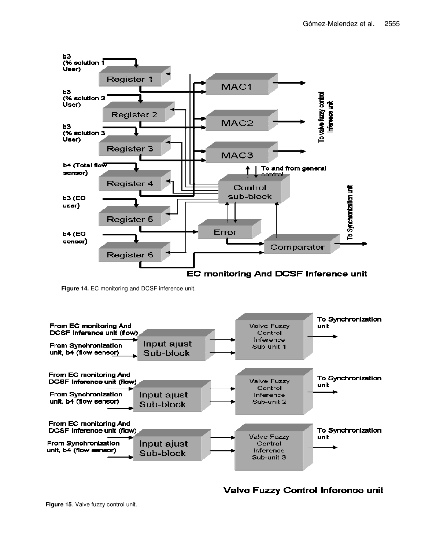

**Figure 14.** EC monitoring and DCSF inference unit.



**Valve Fuzzy Control Inference unit**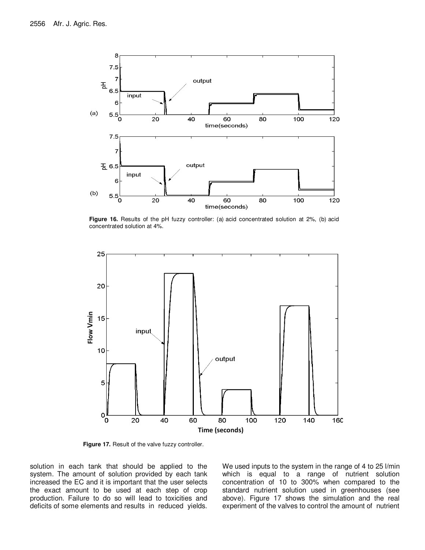

**Figure 16.** Results of the pH fuzzy controller: (a) acid concentrated solution at 2%, (b) acid concentrated solution at 4%.



**Figure 17.** Result of the valve fuzzy controller.

solution in each tank that should be applied to the system. The amount of solution provided by each tank increased the EC and it is important that the user selects the exact amount to be used at each step of crop production. Failure to do so will lead to toxicities and deficits of some elements and results in reduced yields. We used inputs to the system in the range of 4 to 25 l/min which is equal to a range of nutrient solution concentration of 10 to 300% when compared to the standard nutrient solution used in greenhouses (see above). Figure 17 shows the simulation and the real experiment of the valves to control the amount of nutrient